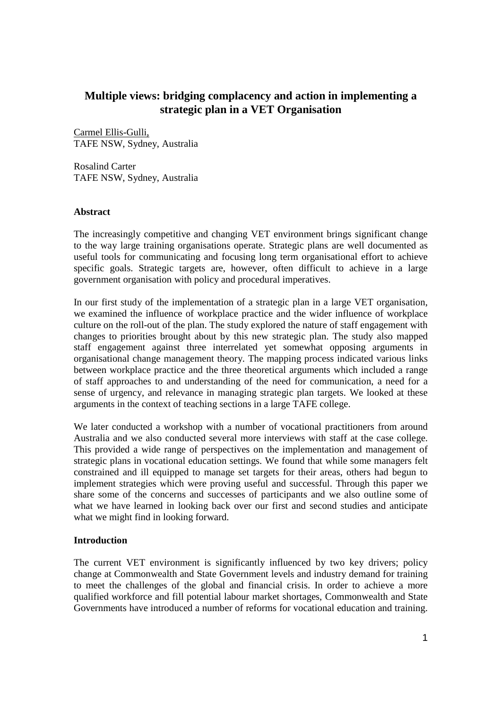# **Multiple views: bridging complacency and action in implementing a strategic plan in a VET Organisation**

Carmel Ellis-Gulli, TAFE NSW, Sydney, Australia

Rosalind Carter TAFE NSW, Sydney, Australia

#### **Abstract**

The increasingly competitive and changing VET environment brings significant change to the way large training organisations operate. Strategic plans are well documented as useful tools for communicating and focusing long term organisational effort to achieve specific goals. Strategic targets are, however, often difficult to achieve in a large government organisation with policy and procedural imperatives.

In our first study of the implementation of a strategic plan in a large VET organisation, we examined the influence of workplace practice and the wider influence of workplace culture on the roll-out of the plan. The study explored the nature of staff engagement with changes to priorities brought about by this new strategic plan. The study also mapped staff engagement against three interrelated yet somewhat opposing arguments in organisational change management theory. The mapping process indicated various links between workplace practice and the three theoretical arguments which included a range of staff approaches to and understanding of the need for communication, a need for a sense of urgency, and relevance in managing strategic plan targets. We looked at these arguments in the context of teaching sections in a large TAFE college.

We later conducted a workshop with a number of vocational practitioners from around Australia and we also conducted several more interviews with staff at the case college. This provided a wide range of perspectives on the implementation and management of strategic plans in vocational education settings. We found that while some managers felt constrained and ill equipped to manage set targets for their areas, others had begun to implement strategies which were proving useful and successful. Through this paper we share some of the concerns and successes of participants and we also outline some of what we have learned in looking back over our first and second studies and anticipate what we might find in looking forward.

### **Introduction**

The current VET environment is significantly influenced by two key drivers; policy change at Commonwealth and State Government levels and industry demand for training to meet the challenges of the global and financial crisis. In order to achieve a more qualified workforce and fill potential labour market shortages, Commonwealth and State Governments have introduced a number of reforms for vocational education and training.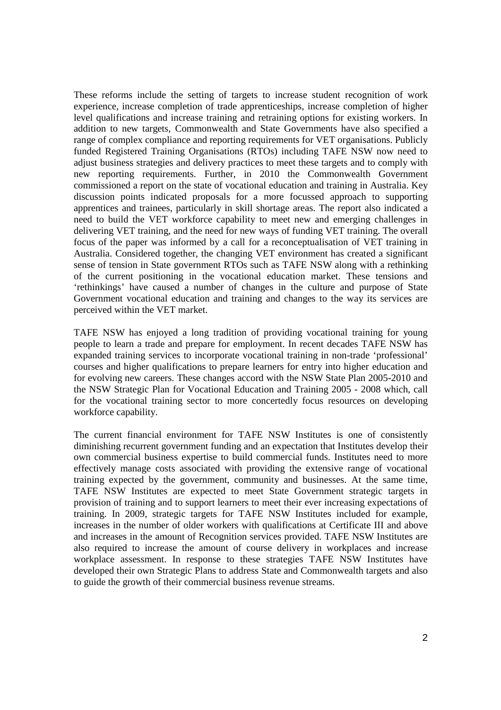These reforms include the setting of targets to increase student recognition of work experience, increase completion of trade apprenticeships, increase completion of higher level qualifications and increase training and retraining options for existing workers. In addition to new targets, Commonwealth and State Governments have also specified a range of complex compliance and reporting requirements for VET organisations. Publicly funded Registered Training Organisations (RTOs) including TAFE NSW now need to adjust business strategies and delivery practices to meet these targets and to comply with new reporting requirements. Further, in 2010 the Commonwealth Government commissioned a report on the state of vocational education and training in Australia. Key discussion points indicated proposals for a more focussed approach to supporting apprentices and trainees, particularly in skill shortage areas. The report also indicated a need to build the VET workforce capability to meet new and emerging challenges in delivering VET training, and the need for new ways of funding VET training. The overall focus of the paper was informed by a call for a reconceptualisation of VET training in Australia. Considered together, the changing VET environment has created a significant sense of tension in State government RTOs such as TAFE NSW along with a rethinking of the current positioning in the vocational education market. These tensions and 'rethinkings' have caused a number of changes in the culture and purpose of State Government vocational education and training and changes to the way its services are perceived within the VET market.

TAFE NSW has enjoyed a long tradition of providing vocational training for young people to learn a trade and prepare for employment. In recent decades TAFE NSW has expanded training services to incorporate vocational training in non-trade 'professional' courses and higher qualifications to prepare learners for entry into higher education and for evolving new careers. These changes accord with the NSW State Plan 2005-2010 and the NSW Strategic Plan for Vocational Education and Training 2005 - 2008 which, call for the vocational training sector to more concertedly focus resources on developing workforce capability.

The current financial environment for TAFE NSW Institutes is one of consistently diminishing recurrent government funding and an expectation that Institutes develop their own commercial business expertise to build commercial funds. Institutes need to more effectively manage costs associated with providing the extensive range of vocational training expected by the government, community and businesses. At the same time, TAFE NSW Institutes are expected to meet State Government strategic targets in provision of training and to support learners to meet their ever increasing expectations of training. In 2009, strategic targets for TAFE NSW Institutes included for example, increases in the number of older workers with qualifications at Certificate III and above and increases in the amount of Recognition services provided. TAFE NSW Institutes are also required to increase the amount of course delivery in workplaces and increase workplace assessment. In response to these strategies TAFE NSW Institutes have developed their own Strategic Plans to address State and Commonwealth targets and also to guide the growth of their commercial business revenue streams.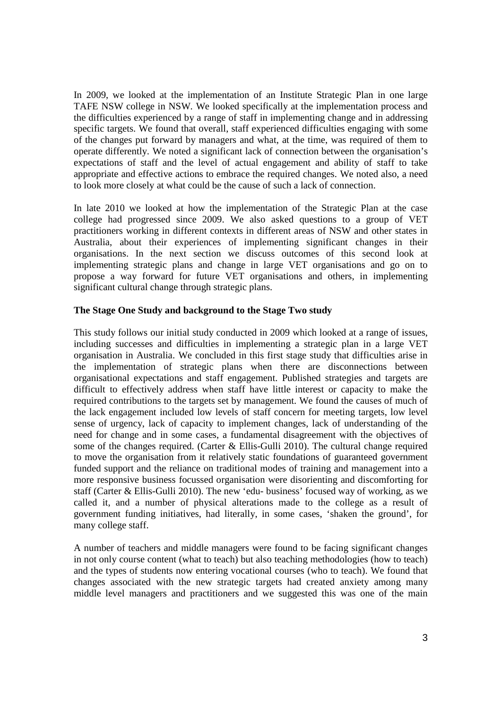In 2009, we looked at the implementation of an Institute Strategic Plan in one large TAFE NSW college in NSW. We looked specifically at the implementation process and the difficulties experienced by a range of staff in implementing change and in addressing specific targets. We found that overall, staff experienced difficulties engaging with some of the changes put forward by managers and what, at the time, was required of them to operate differently. We noted a significant lack of connection between the organisation's expectations of staff and the level of actual engagement and ability of staff to take appropriate and effective actions to embrace the required changes. We noted also, a need to look more closely at what could be the cause of such a lack of connection.

In late 2010 we looked at how the implementation of the Strategic Plan at the case college had progressed since 2009. We also asked questions to a group of VET practitioners working in different contexts in different areas of NSW and other states in Australia, about their experiences of implementing significant changes in their organisations. In the next section we discuss outcomes of this second look at implementing strategic plans and change in large VET organisations and go on to propose a way forward for future VET organisations and others, in implementing significant cultural change through strategic plans.

#### **The Stage One Study and background to the Stage Two study**

This study follows our initial study conducted in 2009 which looked at a range of issues, including successes and difficulties in implementing a strategic plan in a large VET organisation in Australia. We concluded in this first stage study that difficulties arise in the implementation of strategic plans when there are disconnections between organisational expectations and staff engagement. Published strategies and targets are difficult to effectively address when staff have little interest or capacity to make the required contributions to the targets set by management. We found the causes of much of the lack engagement included low levels of staff concern for meeting targets, low level sense of urgency, lack of capacity to implement changes, lack of understanding of the need for change and in some cases, a fundamental disagreement with the objectives of some of the changes required. (Carter & Ellis-Gulli 2010). The cultural change required to move the organisation from it relatively static foundations of guaranteed government funded support and the reliance on traditional modes of training and management into a more responsive business focussed organisation were disorienting and discomforting for staff (Carter & Ellis-Gulli 2010). The new 'edu- business' focused way of working, as we called it, and a number of physical alterations made to the college as a result of government funding initiatives, had literally, in some cases, 'shaken the ground', for many college staff.

A number of teachers and middle managers were found to be facing significant changes in not only course content (what to teach) but also teaching methodologies (how to teach) and the types of students now entering vocational courses (who to teach). We found that changes associated with the new strategic targets had created anxiety among many middle level managers and practitioners and we suggested this was one of the main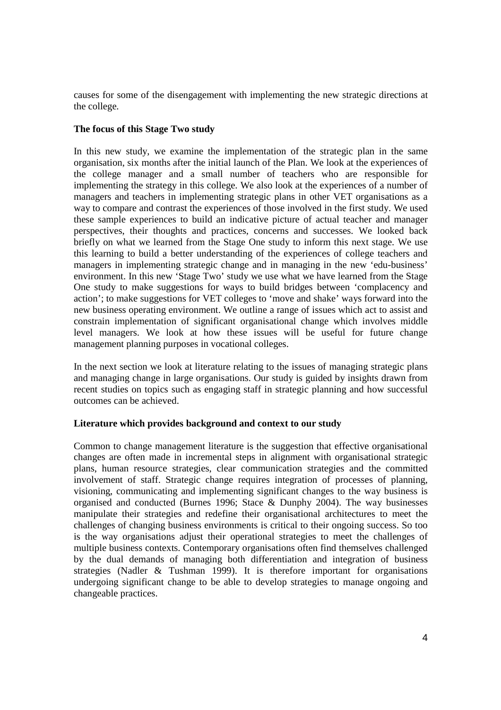causes for some of the disengagement with implementing the new strategic directions at the college.

### **The focus of this Stage Two study**

In this new study, we examine the implementation of the strategic plan in the same organisation, six months after the initial launch of the Plan. We look at the experiences of the college manager and a small number of teachers who are responsible for implementing the strategy in this college. We also look at the experiences of a number of managers and teachers in implementing strategic plans in other VET organisations as a way to compare and contrast the experiences of those involved in the first study. We used these sample experiences to build an indicative picture of actual teacher and manager perspectives, their thoughts and practices, concerns and successes. We looked back briefly on what we learned from the Stage One study to inform this next stage. We use this learning to build a better understanding of the experiences of college teachers and managers in implementing strategic change and in managing in the new 'edu-business' environment. In this new 'Stage Two' study we use what we have learned from the Stage One study to make suggestions for ways to build bridges between 'complacency and action'; to make suggestions for VET colleges to 'move and shake' ways forward into the new business operating environment. We outline a range of issues which act to assist and constrain implementation of significant organisational change which involves middle level managers. We look at how these issues will be useful for future change management planning purposes in vocational colleges.

In the next section we look at literature relating to the issues of managing strategic plans and managing change in large organisations. Our study is guided by insights drawn from recent studies on topics such as engaging staff in strategic planning and how successful outcomes can be achieved.

### **Literature which provides background and context to our study**

Common to change management literature is the suggestion that effective organisational changes are often made in incremental steps in alignment with organisational strategic plans, human resource strategies, clear communication strategies and the committed involvement of staff. Strategic change requires integration of processes of planning, visioning, communicating and implementing significant changes to the way business is organised and conducted (Burnes 1996; Stace & Dunphy 2004). The way businesses manipulate their strategies and redefine their organisational architectures to meet the challenges of changing business environments is critical to their ongoing success. So too is the way organisations adjust their operational strategies to meet the challenges of multiple business contexts. Contemporary organisations often find themselves challenged by the dual demands of managing both differentiation and integration of business strategies (Nadler & Tushman 1999). It is therefore important for organisations undergoing significant change to be able to develop strategies to manage ongoing and changeable practices.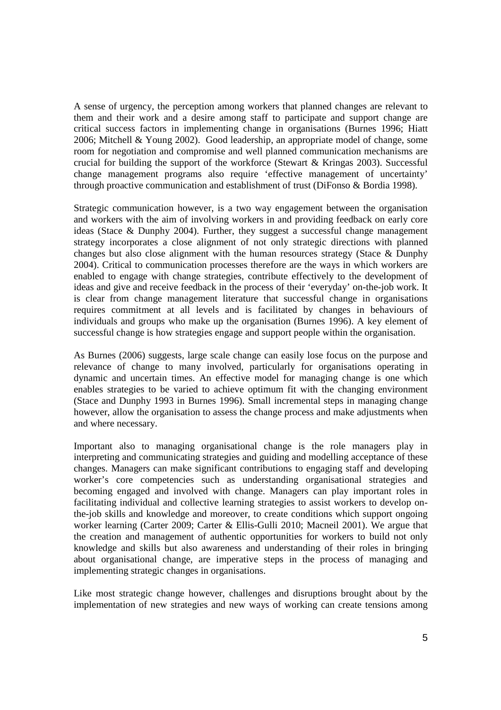A sense of urgency, the perception among workers that planned changes are relevant to them and their work and a desire among staff to participate and support change are critical success factors in implementing change in organisations (Burnes 1996; Hiatt 2006; Mitchell & Young 2002). Good leadership, an appropriate model of change, some room for negotiation and compromise and well planned communication mechanisms are crucial for building the support of the workforce (Stewart & Kringas 2003). Successful change management programs also require 'effective management of uncertainty' through proactive communication and establishment of trust (DiFonso & Bordia 1998).

Strategic communication however, is a two way engagement between the organisation and workers with the aim of involving workers in and providing feedback on early core ideas (Stace & Dunphy 2004). Further, they suggest a successful change management strategy incorporates a close alignment of not only strategic directions with planned changes but also close alignment with the human resources strategy (Stace & Dunphy 2004). Critical to communication processes therefore are the ways in which workers are enabled to engage with change strategies, contribute effectively to the development of ideas and give and receive feedback in the process of their 'everyday' on-the-job work. It is clear from change management literature that successful change in organisations requires commitment at all levels and is facilitated by changes in behaviours of individuals and groups who make up the organisation (Burnes 1996). A key element of successful change is how strategies engage and support people within the organisation.

As Burnes (2006) suggests, large scale change can easily lose focus on the purpose and relevance of change to many involved, particularly for organisations operating in dynamic and uncertain times. An effective model for managing change is one which enables strategies to be varied to achieve optimum fit with the changing environment (Stace and Dunphy 1993 in Burnes 1996). Small incremental steps in managing change however, allow the organisation to assess the change process and make adjustments when and where necessary.

Important also to managing organisational change is the role managers play in interpreting and communicating strategies and guiding and modelling acceptance of these changes. Managers can make significant contributions to engaging staff and developing worker's core competencies such as understanding organisational strategies and becoming engaged and involved with change. Managers can play important roles in facilitating individual and collective learning strategies to assist workers to develop onthe-job skills and knowledge and moreover, to create conditions which support ongoing worker learning (Carter 2009; Carter & Ellis-Gulli 2010; Macneil 2001). We argue that the creation and management of authentic opportunities for workers to build not only knowledge and skills but also awareness and understanding of their roles in bringing about organisational change, are imperative steps in the process of managing and implementing strategic changes in organisations.

Like most strategic change however, challenges and disruptions brought about by the implementation of new strategies and new ways of working can create tensions among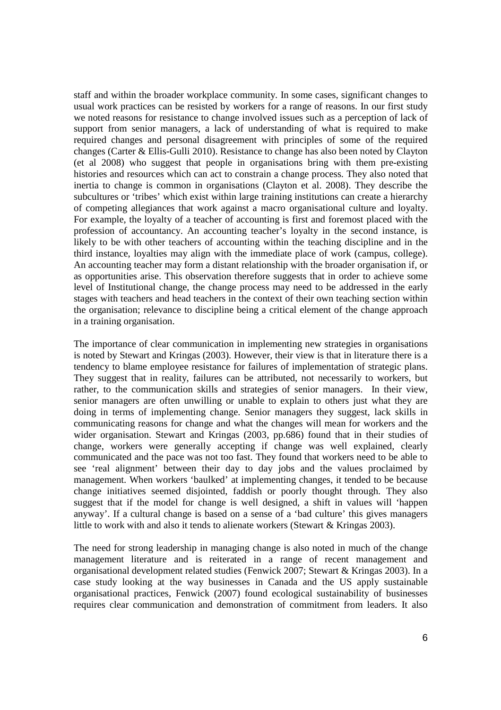staff and within the broader workplace community. In some cases, significant changes to usual work practices can be resisted by workers for a range of reasons. In our first study we noted reasons for resistance to change involved issues such as a perception of lack of support from senior managers, a lack of understanding of what is required to make required changes and personal disagreement with principles of some of the required changes (Carter & Ellis-Gulli 2010). Resistance to change has also been noted by Clayton (et al 2008) who suggest that people in organisations bring with them pre-existing histories and resources which can act to constrain a change process. They also noted that inertia to change is common in organisations (Clayton et al. 2008). They describe the subcultures or 'tribes' which exist within large training institutions can create a hierarchy of competing allegiances that work against a macro organisational culture and loyalty. For example, the loyalty of a teacher of accounting is first and foremost placed with the profession of accountancy. An accounting teacher's loyalty in the second instance, is likely to be with other teachers of accounting within the teaching discipline and in the third instance, loyalties may align with the immediate place of work (campus, college). An accounting teacher may form a distant relationship with the broader organisation if, or as opportunities arise. This observation therefore suggests that in order to achieve some level of Institutional change, the change process may need to be addressed in the early stages with teachers and head teachers in the context of their own teaching section within the organisation; relevance to discipline being a critical element of the change approach in a training organisation.

The importance of clear communication in implementing new strategies in organisations is noted by Stewart and Kringas (2003). However, their view is that in literature there is a tendency to blame employee resistance for failures of implementation of strategic plans. They suggest that in reality, failures can be attributed, not necessarily to workers, but rather, to the communication skills and strategies of senior managers. In their view, senior managers are often unwilling or unable to explain to others just what they are doing in terms of implementing change. Senior managers they suggest, lack skills in communicating reasons for change and what the changes will mean for workers and the wider organisation. Stewart and Kringas (2003, pp.686) found that in their studies of change, workers were generally accepting if change was well explained, clearly communicated and the pace was not too fast. They found that workers need to be able to see 'real alignment' between their day to day jobs and the values proclaimed by management. When workers 'baulked' at implementing changes, it tended to be because change initiatives seemed disjointed, faddish or poorly thought through. They also suggest that if the model for change is well designed, a shift in values will 'happen anyway'. If a cultural change is based on a sense of a 'bad culture' this gives managers little to work with and also it tends to alienate workers (Stewart & Kringas 2003).

The need for strong leadership in managing change is also noted in much of the change management literature and is reiterated in a range of recent management and organisational development related studies (Fenwick 2007; Stewart & Kringas 2003). In a case study looking at the way businesses in Canada and the US apply sustainable organisational practices, Fenwick (2007) found ecological sustainability of businesses requires clear communication and demonstration of commitment from leaders. It also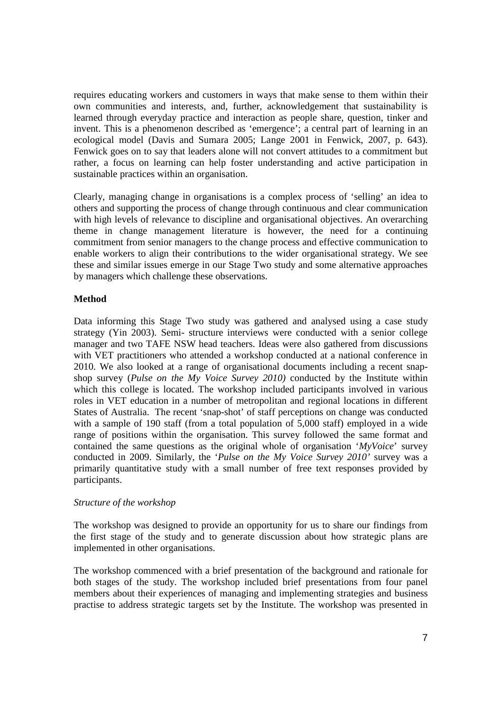requires educating workers and customers in ways that make sense to them within their own communities and interests, and, further, acknowledgement that sustainability is learned through everyday practice and interaction as people share, question, tinker and invent. This is a phenomenon described as 'emergence'; a central part of learning in an ecological model (Davis and Sumara 2005; Lange 2001 in Fenwick, 2007, p. 643). Fenwick goes on to say that leaders alone will not convert attitudes to a commitment but rather, a focus on learning can help foster understanding and active participation in sustainable practices within an organisation.

Clearly, managing change in organisations is a complex process of 'selling' an idea to others and supporting the process of change through continuous and clear communication with high levels of relevance to discipline and organisational objectives. An overarching theme in change management literature is however, the need for a continuing commitment from senior managers to the change process and effective communication to enable workers to align their contributions to the wider organisational strategy. We see these and similar issues emerge in our Stage Two study and some alternative approaches by managers which challenge these observations.

## **Method**

Data informing this Stage Two study was gathered and analysed using a case study strategy (Yin 2003). Semi- structure interviews were conducted with a senior college manager and two TAFE NSW head teachers. Ideas were also gathered from discussions with VET practitioners who attended a workshop conducted at a national conference in 2010. We also looked at a range of organisational documents including a recent snapshop survey (*Pulse on the My Voice Survey 2010)* conducted by the Institute within which this college is located. The workshop included participants involved in various roles in VET education in a number of metropolitan and regional locations in different States of Australia. The recent 'snap-shot' of staff perceptions on change was conducted with a sample of 190 staff (from a total population of 5,000 staff) employed in a wide range of positions within the organisation. This survey followed the same format and contained the same questions as the original whole of organisation '*MyVoice*' survey conducted in 2009. Similarly, the '*Pulse on the My Voice Survey 2010'* survey was a primarily quantitative study with a small number of free text responses provided by participants.

### *Structure of the workshop*

The workshop was designed to provide an opportunity for us to share our findings from the first stage of the study and to generate discussion about how strategic plans are implemented in other organisations.

The workshop commenced with a brief presentation of the background and rationale for both stages of the study. The workshop included brief presentations from four panel members about their experiences of managing and implementing strategies and business practise to address strategic targets set by the Institute. The workshop was presented in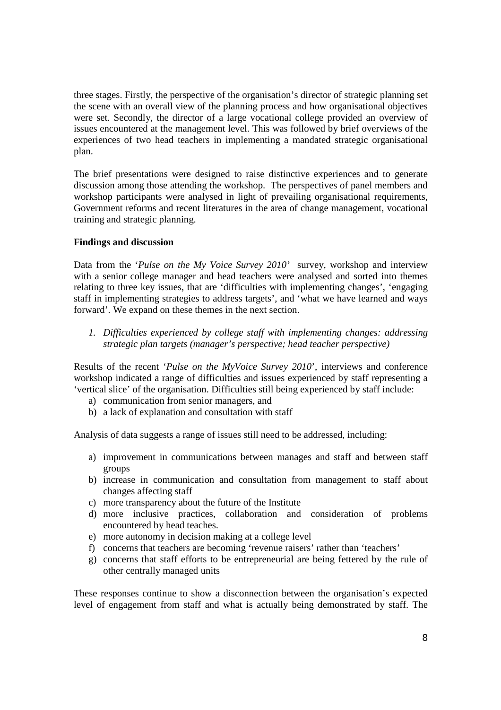three stages. Firstly, the perspective of the organisation's director of strategic planning set the scene with an overall view of the planning process and how organisational objectives were set. Secondly, the director of a large vocational college provided an overview of issues encountered at the management level. This was followed by brief overviews of the experiences of two head teachers in implementing a mandated strategic organisational plan.

The brief presentations were designed to raise distinctive experiences and to generate discussion among those attending the workshop. The perspectives of panel members and workshop participants were analysed in light of prevailing organisational requirements, Government reforms and recent literatures in the area of change management, vocational training and strategic planning.

### **Findings and discussion**

Data from the '*Pulse on the My Voice Survey 2010'* survey, workshop and interview with a senior college manager and head teachers were analysed and sorted into themes relating to three key issues, that are 'difficulties with implementing changes', 'engaging staff in implementing strategies to address targets', and 'what we have learned and ways forward'. We expand on these themes in the next section.

*1. Difficulties experienced by college staff with implementing changes: addressing strategic plan targets (manager's perspective; head teacher perspective)* 

Results of the recent '*Pulse on the MyVoice Survey 2010*', interviews and conference workshop indicated a range of difficulties and issues experienced by staff representing a 'vertical slice' of the organisation. Difficulties still being experienced by staff include:

- a) communication from senior managers, and
- b) a lack of explanation and consultation with staff

Analysis of data suggests a range of issues still need to be addressed, including:

- a) improvement in communications between manages and staff and between staff groups
- b) increase in communication and consultation from management to staff about changes affecting staff
- c) more transparency about the future of the Institute
- d) more inclusive practices, collaboration and consideration of problems encountered by head teaches.
- e) more autonomy in decision making at a college level
- f) concerns that teachers are becoming 'revenue raisers' rather than 'teachers'
- g) concerns that staff efforts to be entrepreneurial are being fettered by the rule of other centrally managed units

These responses continue to show a disconnection between the organisation's expected level of engagement from staff and what is actually being demonstrated by staff. The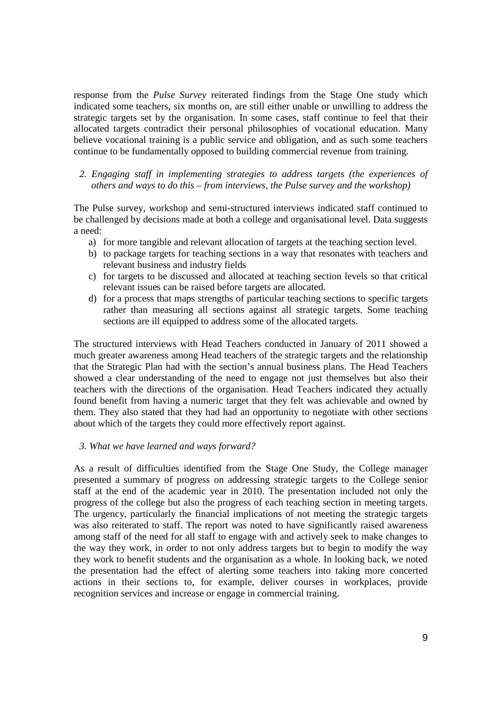response from the *Pulse Survey* reiterated findings from the Stage One study which indicated some teachers, six months on, are still either unable or unwilling to address the strategic targets set by the organisation. In some cases, staff continue to feel that their allocated targets contradict their personal philosophies of vocational education. Many believe vocational training is a public service and obligation, and as such some teachers continue to be fundamentally opposed to building commercial revenue from training.

#### *2. Engaging staff in implementing strategies to address targets (the experiences of others and ways to do this – from interviews, the Pulse survey and the workshop)*

The Pulse survey, workshop and semi-structured interviews indicated staff continued to be challenged by decisions made at both a college and organisational level. Data suggests a need:

- a) for more tangible and relevant allocation of targets at the teaching section level.
- b) to package targets for teaching sections in a way that resonates with teachers and relevant business and industry fields
- c) for targets to be discussed and allocated at teaching section levels so that critical relevant issues can be raised before targets are allocated.
- d) for a process that maps strengths of particular teaching sections to specific targets rather than measuring all sections against all strategic targets. Some teaching sections are ill equipped to address some of the allocated targets.

The structured interviews with Head Teachers conducted in January of 2011 showed a much greater awareness among Head teachers of the strategic targets and the relationship that the Strategic Plan had with the section's annual business plans. The Head Teachers showed a clear understanding of the need to engage not just themselves but also their teachers with the directions of the organisation. Head Teachers indicated they actually found benefit from having a numeric target that they felt was achievable and owned by them. They also stated that they had had an opportunity to negotiate with other sections about which of the targets they could more effectively report against.

#### *3. What we have learned and ways forward?*

As a result of difficulties identified from the Stage One Study, the College manager presented a summary of progress on addressing strategic targets to the College senior staff at the end of the academic year in 2010. The presentation included not only the progress of the college but also the progress of each teaching section in meeting targets. The urgency, particularly the financial implications of not meeting the strategic targets was also reiterated to staff. The report was noted to have significantly raised awareness among staff of the need for all staff to engage with and actively seek to make changes to the way they work, in order to not only address targets but to begin to modify the way they work to benefit students and the organisation as a whole. In looking back, we noted the presentation had the effect of alerting some teachers into taking more concerted actions in their sections to, for example, deliver courses in workplaces, provide recognition services and increase or engage in commercial training.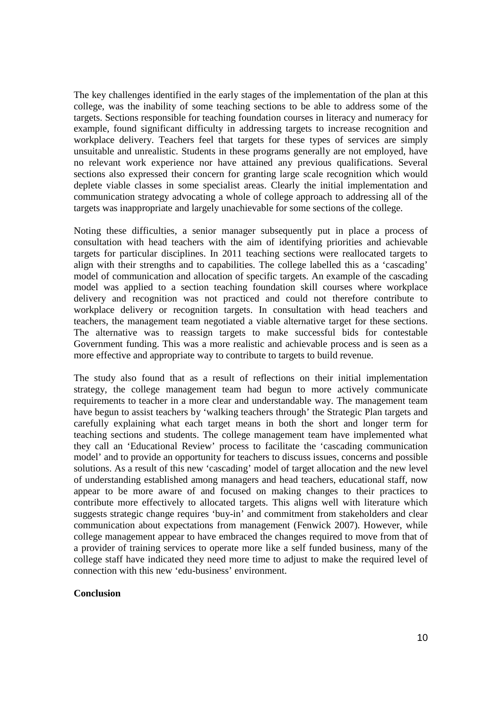The key challenges identified in the early stages of the implementation of the plan at this college, was the inability of some teaching sections to be able to address some of the targets. Sections responsible for teaching foundation courses in literacy and numeracy for example, found significant difficulty in addressing targets to increase recognition and workplace delivery. Teachers feel that targets for these types of services are simply unsuitable and unrealistic. Students in these programs generally are not employed, have no relevant work experience nor have attained any previous qualifications. Several sections also expressed their concern for granting large scale recognition which would deplete viable classes in some specialist areas. Clearly the initial implementation and communication strategy advocating a whole of college approach to addressing all of the targets was inappropriate and largely unachievable for some sections of the college.

Noting these difficulties, a senior manager subsequently put in place a process of consultation with head teachers with the aim of identifying priorities and achievable targets for particular disciplines. In 2011 teaching sections were reallocated targets to align with their strengths and to capabilities. The college labelled this as a 'cascading' model of communication and allocation of specific targets. An example of the cascading model was applied to a section teaching foundation skill courses where workplace delivery and recognition was not practiced and could not therefore contribute to workplace delivery or recognition targets. In consultation with head teachers and teachers, the management team negotiated a viable alternative target for these sections. The alternative was to reassign targets to make successful bids for contestable Government funding. This was a more realistic and achievable process and is seen as a more effective and appropriate way to contribute to targets to build revenue.

The study also found that as a result of reflections on their initial implementation strategy, the college management team had begun to more actively communicate requirements to teacher in a more clear and understandable way. The management team have begun to assist teachers by 'walking teachers through' the Strategic Plan targets and carefully explaining what each target means in both the short and longer term for teaching sections and students. The college management team have implemented what they call an 'Educational Review' process to facilitate the 'cascading communication model' and to provide an opportunity for teachers to discuss issues, concerns and possible solutions. As a result of this new 'cascading' model of target allocation and the new level of understanding established among managers and head teachers, educational staff, now appear to be more aware of and focused on making changes to their practices to contribute more effectively to allocated targets. This aligns well with literature which suggests strategic change requires 'buy-in' and commitment from stakeholders and clear communication about expectations from management (Fenwick 2007). However, while college management appear to have embraced the changes required to move from that of a provider of training services to operate more like a self funded business, many of the college staff have indicated they need more time to adjust to make the required level of connection with this new 'edu-business' environment.

#### **Conclusion**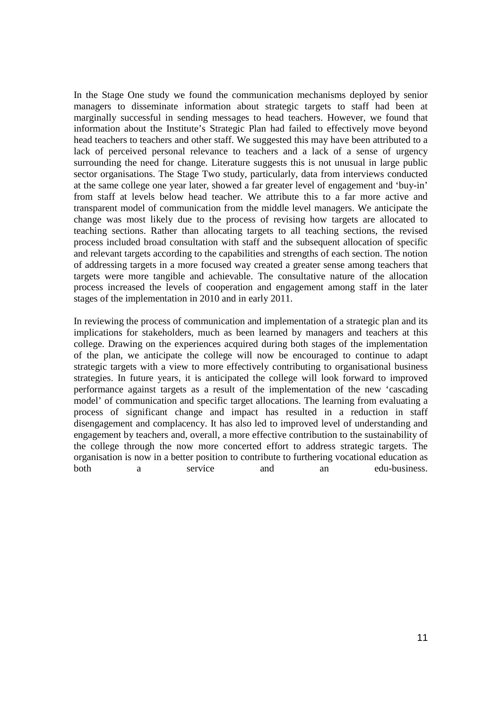In the Stage One study we found the communication mechanisms deployed by senior managers to disseminate information about strategic targets to staff had been at marginally successful in sending messages to head teachers. However, we found that information about the Institute's Strategic Plan had failed to effectively move beyond head teachers to teachers and other staff. We suggested this may have been attributed to a lack of perceived personal relevance to teachers and a lack of a sense of urgency surrounding the need for change. Literature suggests this is not unusual in large public sector organisations. The Stage Two study, particularly, data from interviews conducted at the same college one year later, showed a far greater level of engagement and 'buy-in' from staff at levels below head teacher. We attribute this to a far more active and transparent model of communication from the middle level managers. We anticipate the change was most likely due to the process of revising how targets are allocated to teaching sections. Rather than allocating targets to all teaching sections, the revised process included broad consultation with staff and the subsequent allocation of specific and relevant targets according to the capabilities and strengths of each section. The notion of addressing targets in a more focused way created a greater sense among teachers that targets were more tangible and achievable. The consultative nature of the allocation process increased the levels of cooperation and engagement among staff in the later stages of the implementation in 2010 and in early 2011.

In reviewing the process of communication and implementation of a strategic plan and its implications for stakeholders, much as been learned by managers and teachers at this college. Drawing on the experiences acquired during both stages of the implementation of the plan, we anticipate the college will now be encouraged to continue to adapt strategic targets with a view to more effectively contributing to organisational business strategies. In future years, it is anticipated the college will look forward to improved performance against targets as a result of the implementation of the new 'cascading model' of communication and specific target allocations. The learning from evaluating a process of significant change and impact has resulted in a reduction in staff disengagement and complacency. It has also led to improved level of understanding and engagement by teachers and, overall, a more effective contribution to the sustainability of the college through the now more concerted effort to address strategic targets. The organisation is now in a better position to contribute to furthering vocational education as both a service and an edu-business.